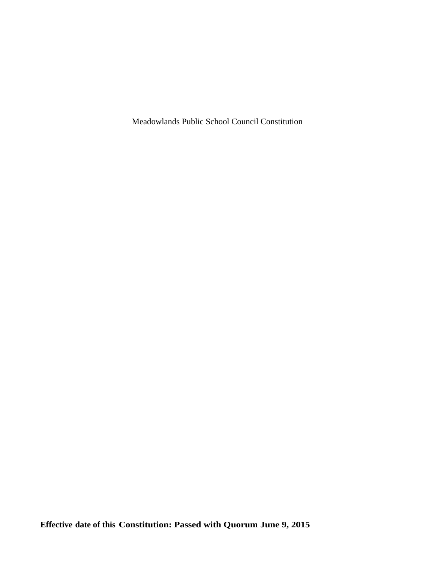Meadowlands Public School Council Constitution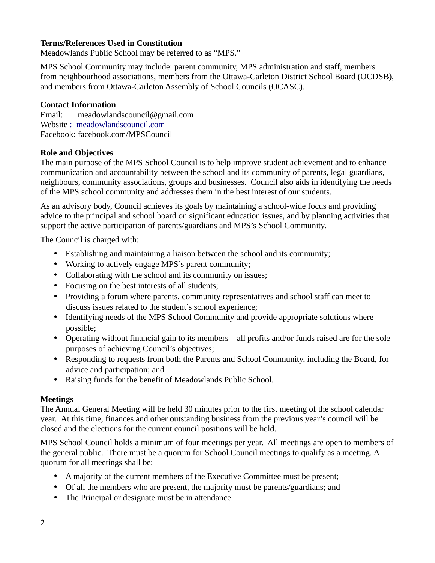# **Terms/References Used in Constitution**

Meadowlands Public School may be referred to as "MPS."

MPS School Community may include: parent community, MPS administration and staff, members from neighbourhood associations, members from the Ottawa-Carleton District School Board (OCDSB), and members from Ottawa-Carleton Assembly of School Councils (OCASC).

#### **Contact Information**

Email: meadowlandscouncil@gmail.com Website [: meadowlandscouncil.com](http://meadowlandscouncil.com/) Facebook: facebook.com/MPSCouncil

#### **Role and Objectives**

The main purpose of the MPS School Council is to help improve student achievement and to enhance communication and accountability between the school and its community of parents, legal guardians, neighbours, community associations, groups and businesses. Council also aids in identifying the needs of the MPS school community and addresses them in the best interest of our students.

As an advisory body, Council achieves its goals by maintaining a school-wide focus and providing advice to the principal and school board on significant education issues, and by planning activities that support the active participation of parents/guardians and MPS's School Community.

The Council is charged with:

- Establishing and maintaining a liaison between the school and its community;
- Working to actively engage MPS's parent community;
- Collaborating with the school and its community on issues;
- Focusing on the best interests of all students;
- Providing a forum where parents, community representatives and school staff can meet to discuss issues related to the student's school experience;
- Identifying needs of the MPS School Community and provide appropriate solutions where possible;
- Operating without financial gain to its members all profits and/or funds raised are for the sole purposes of achieving Council's objectives;
- Responding to requests from both the Parents and School Community, including the Board, for advice and participation; and
- Raising funds for the benefit of Meadowlands Public School.

### **Meetings**

The Annual General Meeting will be held 30 minutes prior to the first meeting of the school calendar year. At this time, finances and other outstanding business from the previous year's council will be closed and the elections for the current council positions will be held.

MPS School Council holds a minimum of four meetings per year. All meetings are open to members of the general public. There must be a quorum for School Council meetings to qualify as a meeting. A quorum for all meetings shall be:

- A majority of the current members of the Executive Committee must be present;
- Of all the members who are present, the majority must be parents/guardians; and
- The Principal or designate must be in attendance.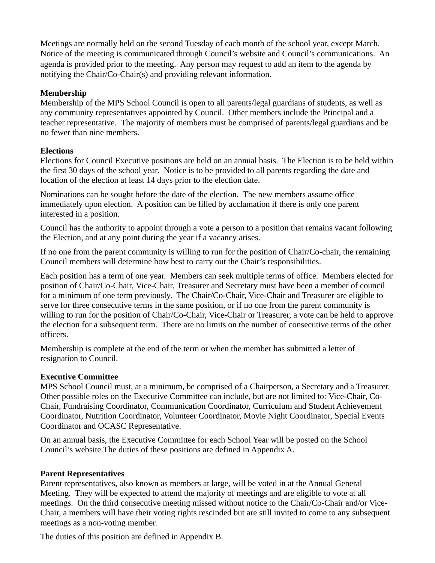Meetings are normally held on the second Tuesday of each month of the school year, except March. Notice of the meeting is communicated through Council's website and Council's communications. An agenda is provided prior to the meeting. Any person may request to add an item to the agenda by notifying the Chair/Co-Chair(s) and providing relevant information.

## **Membership**

Membership of the MPS School Council is open to all parents/legal guardians of students, as well as any community representatives appointed by Council. Other members include the Principal and a teacher representative. The majority of members must be comprised of parents/legal guardians and be no fewer than nine members.

# **Elections**

Elections for Council Executive positions are held on an annual basis. The Election is to be held within the first 30 days of the school year. Notice is to be provided to all parents regarding the date and location of the election at least 14 days prior to the election date.

Nominations can be sought before the date of the election. The new members assume office immediately upon election. A position can be filled by acclamation if there is only one parent interested in a position.

Council has the authority to appoint through a vote a person to a position that remains vacant following the Election, and at any point during the year if a vacancy arises.

If no one from the parent community is willing to run for the position of Chair/Co-chair, the remaining Council members will determine how best to carry out the Chair's responsibilities.

Each position has a term of one year. Members can seek multiple terms of office. Members elected for position of Chair/Co-Chair, Vice-Chair, Treasurer and Secretary must have been a member of council for a minimum of one term previously. The Chair/Co-Chair, Vice-Chair and Treasurer are eligible to serve for three consecutive terms in the same position, or if no one from the parent community is willing to run for the position of Chair/Co-Chair, Vice-Chair or Treasurer, a vote can be held to approve the election for a subsequent term. There are no limits on the number of consecutive terms of the other officers.

Membership is complete at the end of the term or when the member has submitted a letter of resignation to Council.

### **Executive Committee**

MPS School Council must, at a minimum, be comprised of a Chairperson, a Secretary and a Treasurer. Other possible roles on the Executive Committee can include, but are not limited to: Vice-Chair, Co-Chair, Fundraising Coordinator, Communication Coordinator, Curriculum and Student Achievement Coordinator, Nutrition Coordinator, Volunteer Coordinator, Movie Night Coordinator, Special Events Coordinator and OCASC Representative.

On an annual basis, the Executive Committee for each School Year will be posted on the School Council's website.The duties of these positions are defined in Appendix A.

### **Parent Representatives**

Parent representatives, also known as members at large, will be voted in at the Annual General Meeting. They will be expected to attend the majority of meetings and are eligible to vote at all meetings. On the third consecutive meeting missed without notice to the Chair/Co-Chair and/or Vice-Chair, a members will have their voting rights rescinded but are still invited to come to any subsequent meetings as a non-voting member.

The duties of this position are defined in Appendix B.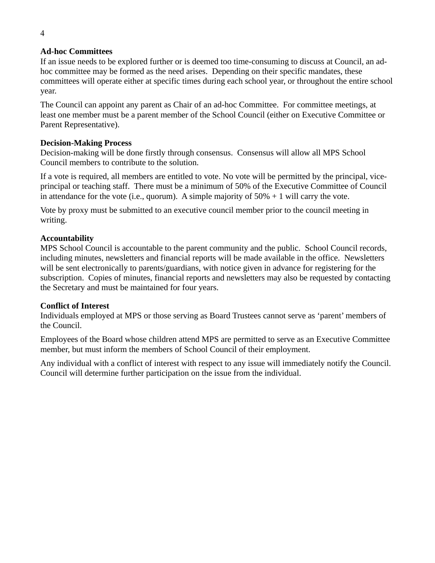### **Ad-hoc Committees**

If an issue needs to be explored further or is deemed too time-consuming to discuss at Council, an adhoc committee may be formed as the need arises. Depending on their specific mandates, these committees will operate either at specific times during each school year, or throughout the entire school year.

The Council can appoint any parent as Chair of an ad-hoc Committee. For committee meetings, at least one member must be a parent member of the School Council (either on Executive Committee or Parent Representative).

### **Decision-Making Process**

Decision-making will be done firstly through consensus. Consensus will allow all MPS School Council members to contribute to the solution.

If a vote is required, all members are entitled to vote. No vote will be permitted by the principal, viceprincipal or teaching staff. There must be a minimum of 50% of the Executive Committee of Council in attendance for the vote (i.e., quorum). A simple majority of  $50\% + 1$  will carry the vote.

Vote by proxy must be submitted to an executive council member prior to the council meeting in writing.

### **Accountability**

MPS School Council is accountable to the parent community and the public. School Council records, including minutes, newsletters and financial reports will be made available in the office. Newsletters will be sent electronically to parents/guardians, with notice given in advance for registering for the subscription. Copies of minutes, financial reports and newsletters may also be requested by contacting the Secretary and must be maintained for four years.

### **Conflict of Interest**

Individuals employed at MPS or those serving as Board Trustees cannot serve as 'parent' members of the Council.

Employees of the Board whose children attend MPS are permitted to serve as an Executive Committee member, but must inform the members of School Council of their employment.

Any individual with a conflict of interest with respect to any issue will immediately notify the Council. Council will determine further participation on the issue from the individual.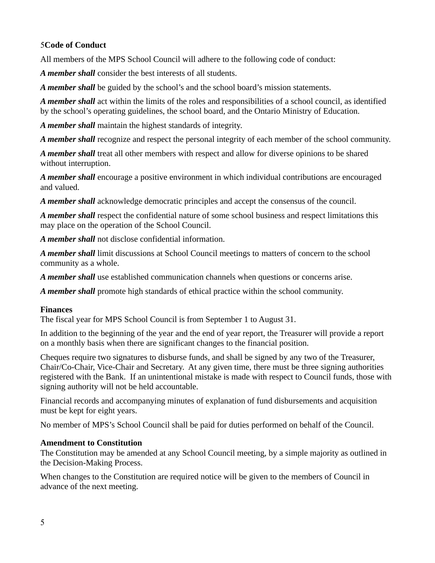# 5**Code of Conduct**

All members of the MPS School Council will adhere to the following code of conduct:

*A member shall* consider the best interests of all students.

*A member shall* be guided by the school's and the school board's mission statements.

*A member shall* act within the limits of the roles and responsibilities of a school council, as identified by the school's operating guidelines, the school board, and the Ontario Ministry of Education.

*A member shall* maintain the highest standards of integrity.

*A member shall* recognize and respect the personal integrity of each member of the school community.

*A member shall* treat all other members with respect and allow for diverse opinions to be shared without interruption.

*A member shall* encourage a positive environment in which individual contributions are encouraged and valued.

*A member shall* acknowledge democratic principles and accept the consensus of the council.

*A member shall* respect the confidential nature of some school business and respect limitations this may place on the operation of the School Council.

*A member shall* not disclose confidential information.

*A member shall* limit discussions at School Council meetings to matters of concern to the school community as a whole.

*A member shall* use established communication channels when questions or concerns arise.

*A member shall* promote high standards of ethical practice within the school community.

# **Finances**

The fiscal year for MPS School Council is from September 1 to August 31.

In addition to the beginning of the year and the end of year report, the Treasurer will provide a report on a monthly basis when there are significant changes to the financial position.

Cheques require two signatures to disburse funds, and shall be signed by any two of the Treasurer, Chair/Co-Chair, Vice-Chair and Secretary. At any given time, there must be three signing authorities registered with the Bank. If an unintentional mistake is made with respect to Council funds, those with signing authority will not be held accountable.

Financial records and accompanying minutes of explanation of fund disbursements and acquisition must be kept for eight years.

No member of MPS's School Council shall be paid for duties performed on behalf of the Council.

# **Amendment to Constitution**

The Constitution may be amended at any School Council meeting, by a simple majority as outlined in the Decision-Making Process.

When changes to the Constitution are required notice will be given to the members of Council in advance of the next meeting.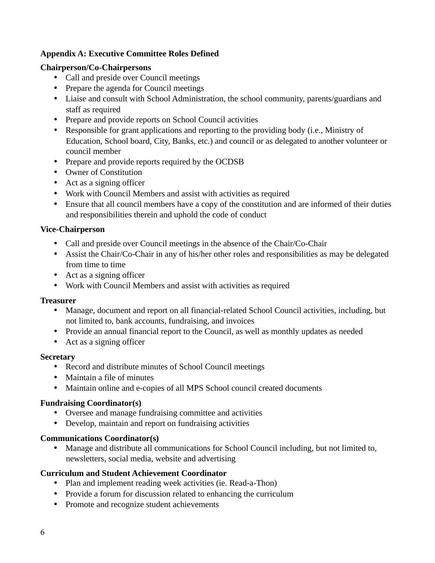# **Appendix A: Executive Committee Roles Defined**

### **Chairperson/Co-Chairpersons**

- Call and preside over Council meetings
- Prepare the agenda for Council meetings
- Liaise and consult with School Administration, the school community, parents/guardians and staff as required
- Prepare and provide reports on School Council activities
- Responsible for grant applications and reporting to the providing body (i.e., Ministry of Education, School board, City, Banks, etc.) and council or as delegated to another volunteer or council member
- Prepare and provide reports required by the OCDSB
- Owner of Constitution
- Act as a signing officer
- Work with Council Members and assist with activities as required
- Ensure that all council members have a copy of the constitution and are informed of their duties and responsibilities therein and uphold the code of conduct

# **Vice-Chairperson**

- Call and preside over Council meetings in the absence of the Chair/Co-Chair
- Assist the Chair/Co-Chair in any of his/her other roles and responsibilities as may be delegated from time to time
- Act as a signing officer
- Work with Council Members and assist with activities as required

### **Treasurer**

- Manage, document and report on all financial-related School Council activities, including, but not limited to, bank accounts, fundraising, and invoices
- Provide an annual financial report to the Council, as well as monthly updates as needed
- Act as a signing officer

### **Secretary**

- Record and distribute minutes of School Council meetings
- Maintain a file of minutes
- Maintain online and e-copies of all MPS School council created documents

### **Fundraising Coordinator(s)**

- Oversee and manage fundraising committee and activities
- Develop, maintain and report on fundraising activities

### **Communications Coordinator(s)**

• Manage and distribute all communications for School Council including, but not limited to, newsletters, social media, website and advertising

### **Curriculum and Student Achievement Coordinator**

- Plan and implement reading week activities (ie. Read-a-Thon)
- Provide a forum for discussion related to enhancing the curriculum
- Promote and recognize student achievements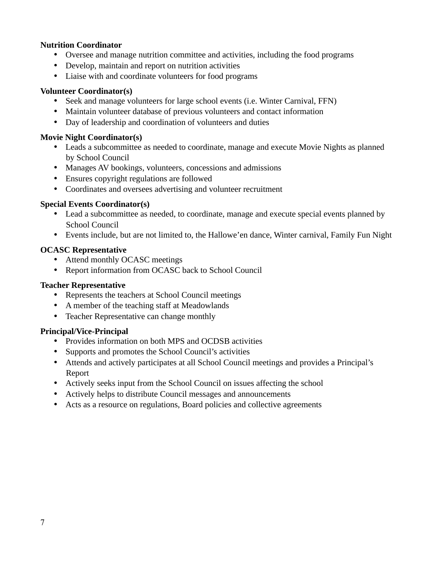### **Nutrition Coordinator**

- Oversee and manage nutrition committee and activities, including the food programs
- Develop, maintain and report on nutrition activities
- Liaise with and coordinate volunteers for food programs

#### **Volunteer Coordinator(s)**

- Seek and manage volunteers for large school events (i.e. Winter Carnival, FFN)
- Maintain volunteer database of previous volunteers and contact information
- Day of leadership and coordination of volunteers and duties

# **Movie Night Coordinator(s)**

- Leads a subcommittee as needed to coordinate, manage and execute Movie Nights as planned by School Council
- Manages AV bookings, volunteers, concessions and admissions
- Ensures copyright regulations are followed
- Coordinates and oversees advertising and volunteer recruitment

#### **Special Events Coordinator(s)**

- Lead a subcommittee as needed, to coordinate, manage and execute special events planned by School Council
- Events include, but are not limited to, the Hallowe'en dance, Winter carnival, Family Fun Night

#### **OCASC Representative**

- Attend monthly OCASC meetings
- Report information from OCASC back to School Council

#### **Teacher Representative**

- Represents the teachers at School Council meetings
- A member of the teaching staff at Meadowlands
- Teacher Representative can change monthly

#### **Principal/Vice-Principal**

- Provides information on both MPS and OCDSB activities
- Supports and promotes the School Council's activities
- Attends and actively participates at all School Council meetings and provides a Principal's Report
- Actively seeks input from the School Council on issues affecting the school
- Actively helps to distribute Council messages and announcements
- Acts as a resource on regulations, Board policies and collective agreements